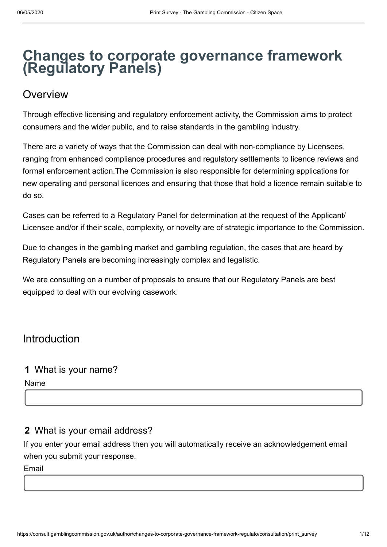# **Changes to corporate governance framework (Regulatory Panels)**

# **Overview**

Through effective licensing and regulatory enforcement activity, the Commission aims to protect consumers and the wider public, and to raise standards in the gambling industry.

There are a variety of ways that the Commission can deal with non-compliance by Licensees, ranging from enhanced compliance procedures and regulatory settlements to licence reviews and formal enforcement action.The Commission is also responsible for determining applications for new operating and personal licences and ensuring that those that hold a licence remain suitable to do so.

Cases can be referred to a Regulatory Panel for determination at the request of the Applicant/ Licensee and/or if their scale, complexity, or novelty are of strategic importance to the Commission.

Due to changes in the gambling market and gambling regulation, the cases that are heard by Regulatory Panels are becoming increasingly complex and legalistic.

We are consulting on a number of proposals to ensure that our Regulatory Panels are best equipped to deal with our evolving casework.

# Introduction

### **1** What is your name?

Name

# **2** What is your email address?

If you enter your email address then you will automatically receive an acknowledgement email when you submit your response.

Email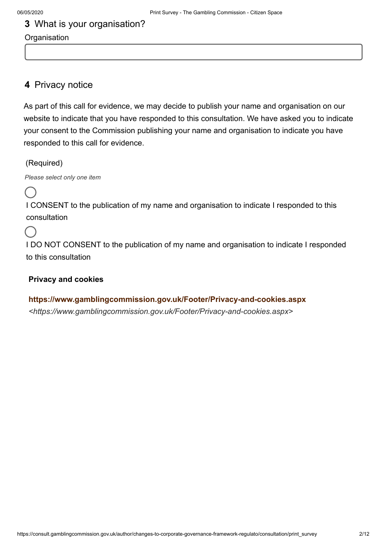# **3** What is your organisation?

### **Organisation**

### **4** Privacy notice

As part of this call for evidence, we may decide to publish your name and organisation on our website to indicate that you have responded to this consultation. We have asked you to indicate your consent to the Commission publishing your name and organisation to indicate you have responded to this call for evidence.

(Required)

*Please select only one item*

I CONSENT to the publication of my name and organisation to indicate I responded to this consultation

I DO NOT CONSENT to the publication of my name and organisation to indicate I responded to this consultation

### **Privacy and cookies**

**<https://www.gamblingcommission.gov.uk/Footer/Privacy-and-cookies.aspx>** *<https://www.gamblingcommission.gov.uk/Footer/Privacy-and-cookies.aspx>*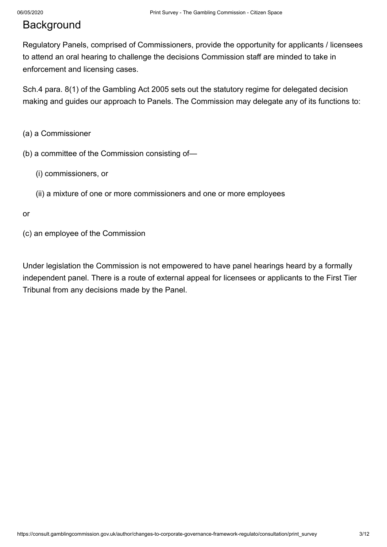# **Background**

Regulatory Panels, comprised of Commissioners, provide the opportunity for applicants / licensees to attend an oral hearing to challenge the decisions Commission staff are minded to take in enforcement and licensing cases.

Sch.4 para. 8(1) of the Gambling Act 2005 sets out the statutory regime for delegated decision making and guides our approach to Panels. The Commission may delegate any of its functions to:

- (a) a Commissioner
- (b) a committee of the Commission consisting of—
	- (i) commissioners, or
	- (ii) a mixture of one or more commissioners and one or more employees

#### or

(c) an employee of the Commission

Under legislation the Commission is not empowered to have panel hearings heard by a formally independent panel. There is a route of external appeal for licensees or applicants to the First Tier Tribunal from any decisions made by the Panel.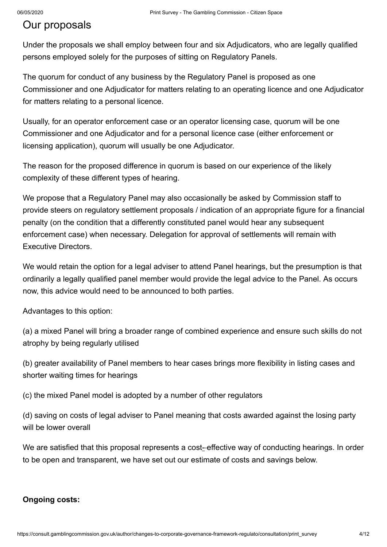# Our proposals

Under the proposals we shall employ between four and six Adjudicators, who are legally qualified persons employed solely for the purposes of sitting on Regulatory Panels.

The quorum for conduct of any business by the Regulatory Panel is proposed as one Commissioner and one Adjudicator for matters relating to an operating licence and one Adjudicator for matters relating to a personal licence.

Usually, for an operator enforcement case or an operator licensing case, quorum will be one Commissioner and one Adjudicator and for a personal licence case (either enforcement or licensing application), quorum will usually be one Adjudicator.

The reason for the proposed difference in quorum is based on our experience of the likely complexity of these different types of hearing.

We propose that a Regulatory Panel may also occasionally be asked by Commission staff to provide steers on regulatory settlement proposals / indication of an appropriate figure for a financial penalty (on the condition that a differently constituted panel would hear any subsequent enforcement case) when necessary. Delegation for approval of settlements will remain with Executive Directors.

We would retain the option for a legal adviser to attend Panel hearings, but the presumption is that ordinarily a legally qualified panel member would provide the legal advice to the Panel. As occurs now, this advice would need to be announced to both parties.

Advantages to this option:

(a) a mixed Panel will bring a broader range of combined experience and ensure such skills do not atrophy by being regularly utilised

(b) greater availability of Panel members to hear cases brings more flexibility in listing cases and shorter waiting times for hearings

(c) the mixed Panel model is adopted by a number of other regulators

(d) saving on costs of legal adviser to Panel meaning that costs awarded against the losing party will be lower overall

We are satisfied that this proposal represents a cost-effective way of conducting hearings. In order to be open and transparent, we have set out our estimate of costs and savings below.

#### **Ongoing costs:**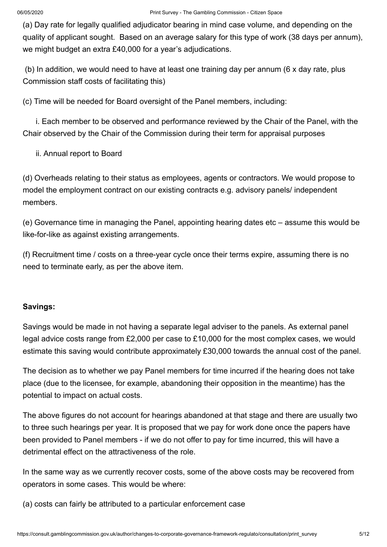(a) Day rate for legally qualified adjudicator bearing in mind case volume, and depending on the quality of applicant sought. Based on an average salary for this type of work (38 days per annum), we might budget an extra £40,000 for a year's adjudications.

 (b) In addition, we would need to have at least one training day per annum (6 x day rate, plus Commission staff costs of facilitating this)

(c) Time will be needed for Board oversight of the Panel members, including:

 i. Each member to be observed and performance reviewed by the Chair of the Panel, with the Chair observed by the Chair of the Commission during their term for appraisal purposes

ii. Annual report to Board

(d) Overheads relating to their status as employees, agents or contractors. We would propose to model the employment contract on our existing contracts e.g. advisory panels/ independent members.

(e) Governance time in managing the Panel, appointing hearing dates etc – assume this would be like-for-like as against existing arrangements.

(f) Recruitment time / costs on a three-year cycle once their terms expire, assuming there is no need to terminate early, as per the above item.

#### **Savings:**

Savings would be made in not having a separate legal adviser to the panels. As external panel legal advice costs range from £2,000 per case to £10,000 for the most complex cases, we would estimate this saving would contribute approximately £30,000 towards the annual cost of the panel.

The decision as to whether we pay Panel members for time incurred if the hearing does not take place (due to the licensee, for example, abandoning their opposition in the meantime) has the potential to impact on actual costs.

The above figures do not account for hearings abandoned at that stage and there are usually two to three such hearings per year. It is proposed that we pay for work done once the papers have been provided to Panel members - if we do not offer to pay for time incurred, this will have a detrimental effect on the attractiveness of the role.

In the same way as we currently recover costs, some of the above costs may be recovered from operators in some cases. This would be where:

(a) costs can fairly be attributed to a particular enforcement case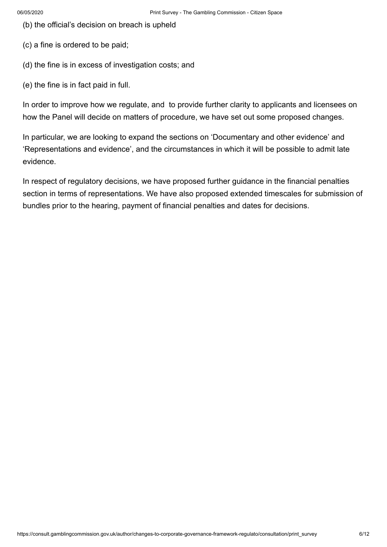(b) the official's decision on breach is upheld

(c) a fine is ordered to be paid;

- (d) the fine is in excess of investigation costs; and
- (e) the fine is in fact paid in full.

In order to improve how we regulate, and to provide further clarity to applicants and licensees on how the Panel will decide on matters of procedure, we have set out some proposed changes.

In particular, we are looking to expand the sections on 'Documentary and other evidence' and 'Representations and evidence', and the circumstances in which it will be possible to admit late evidence.

In respect of regulatory decisions, we have proposed further guidance in the financial penalties section in terms of representations. We have also proposed extended timescales for submission of bundles prior to the hearing, payment of financial penalties and dates for decisions.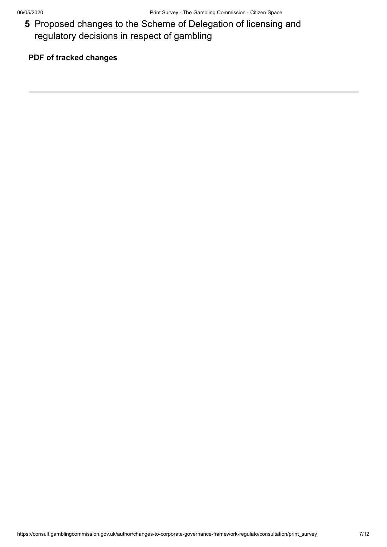**5** Proposed changes to the Scheme of Delegation of licensing and regulatory decisions in respect of gambling

### **PDF of tracked changes**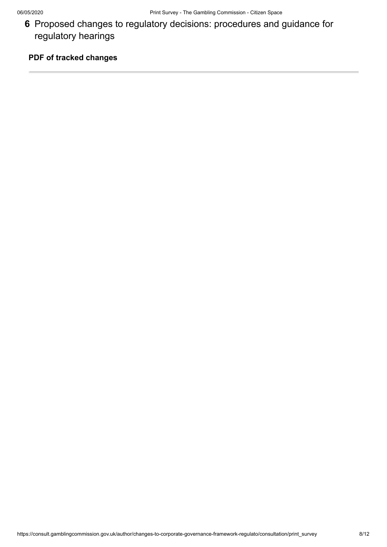**6** Proposed changes to regulatory decisions: procedures and guidance for regulatory hearings

### **PDF of tracked changes**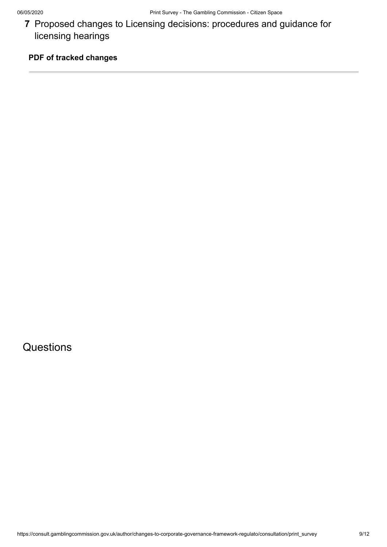**7** Proposed changes to Licensing decisions: procedures and guidance for licensing hearings

### **PDF of tracked changes**

**Questions**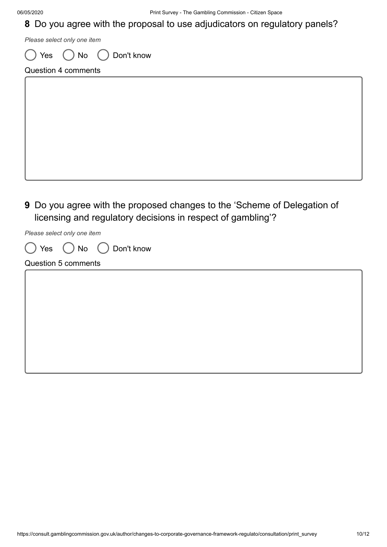### **8** Do you agree with the proposal to use adjudicators on regulatory panels?

*Please select only one item*

 $\bigcap$  Yes  $\bigcap$  No  $\bigcap$  Don't know

Question 4 comments

**9** Do you agree with the proposed changes to the 'Scheme of Delegation of

licensing and regulatory decisions in respect of gambling'?

*Please select only one item*

|  |  | Don't know |
|--|--|------------|
|  |  |            |

#### Question 5 comments

| ,我们也不会有什么。""我们的人,我们也不会有什么?""我们的人,我们也不会有什么?""我们的人,我们也不会有什么?""我们的人,我们也不会有什么?""我们的人 |  |  |
|----------------------------------------------------------------------------------|--|--|
|                                                                                  |  |  |
|                                                                                  |  |  |
|                                                                                  |  |  |
|                                                                                  |  |  |
|                                                                                  |  |  |
|                                                                                  |  |  |
|                                                                                  |  |  |
|                                                                                  |  |  |
|                                                                                  |  |  |
|                                                                                  |  |  |
|                                                                                  |  |  |
|                                                                                  |  |  |
|                                                                                  |  |  |
|                                                                                  |  |  |
|                                                                                  |  |  |
|                                                                                  |  |  |
|                                                                                  |  |  |
|                                                                                  |  |  |
|                                                                                  |  |  |
|                                                                                  |  |  |
|                                                                                  |  |  |
|                                                                                  |  |  |
|                                                                                  |  |  |
|                                                                                  |  |  |
|                                                                                  |  |  |
|                                                                                  |  |  |
|                                                                                  |  |  |
|                                                                                  |  |  |
|                                                                                  |  |  |
|                                                                                  |  |  |
|                                                                                  |  |  |
|                                                                                  |  |  |
|                                                                                  |  |  |
|                                                                                  |  |  |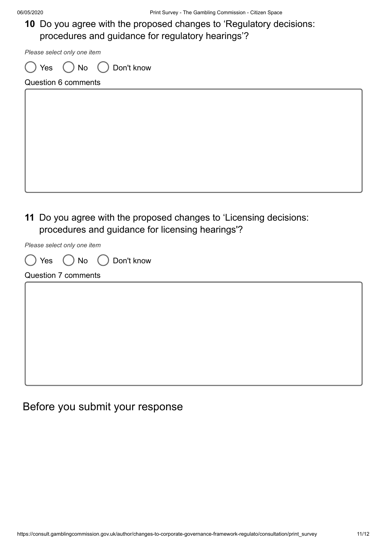**10** Do you agree with the proposed changes to 'Regulatory decisions: procedures and guidance for regulatory hearings'?

*Please select only one item*

) Yes  $\bigcap$  No  $\bigcap$  Don't know

Question 6 comments

**11** Do you agree with the proposed changes to 'Licensing decisions: procedures and guidance for licensing hearings'?

*Please select only one item*

|  | Don't know |
|--|------------|

Question 7 comments

# Before you submit your response